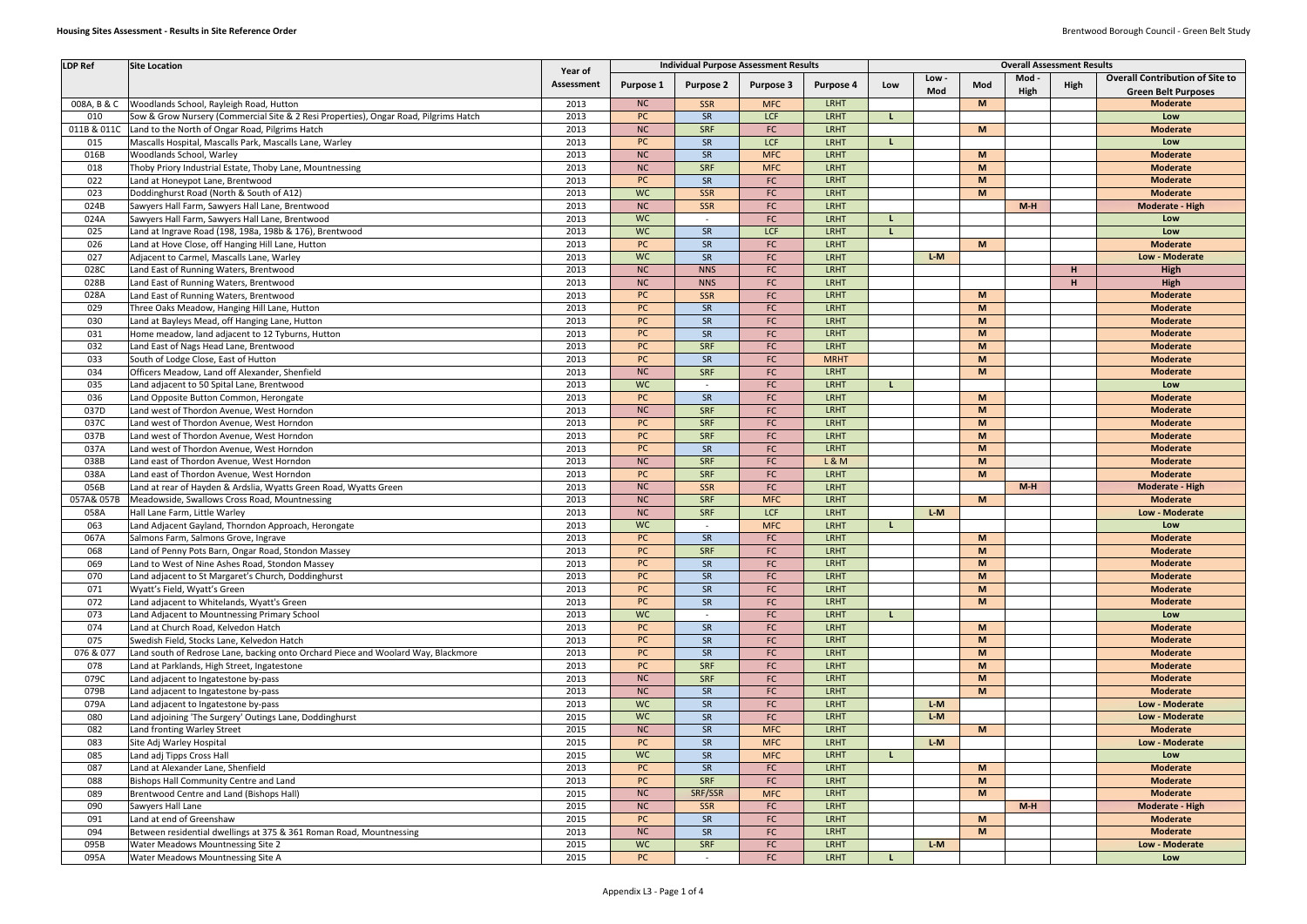| <b>LDP Ref</b> | <b>Site Location</b>                                                                 | Year of    | <b>Overall Assessment Results</b><br><b>Individual Purpose Assessment Results</b> |                  |                  |             |     |       |     |       |      |                                        |
|----------------|--------------------------------------------------------------------------------------|------------|-----------------------------------------------------------------------------------|------------------|------------------|-------------|-----|-------|-----|-------|------|----------------------------------------|
|                |                                                                                      | Assessment | Purpose 1                                                                         | <b>Purpose 2</b> | <b>Purpose 3</b> | Purpose 4   | Low | Low - | Mod | Mod - | High | <b>Overall Contribution of Site to</b> |
|                |                                                                                      |            |                                                                                   |                  |                  |             |     | Mod   |     | High  |      | <b>Green Belt Purposes</b>             |
| 008A, B & C    | Woodlands School, Rayleigh Road, Hutton                                              | 2013       | NC                                                                                | SSR              | <b>MFC</b>       | <b>LRHT</b> |     |       | M   |       |      | <b>Moderate</b>                        |
| 010            | Sow & Grow Nursery (Commercial Site & 2 Resi Properties), Ongar Road, Pilgrims Hatch | 2013       | PC                                                                                | SR               | <b>LCF</b>       | <b>LRHT</b> |     |       |     |       |      | Low                                    |
| 011B & 011C    | Land to the North of Ongar Road, Pilgrims Hatch                                      | 2013       | <b>NC</b>                                                                         | SRF              | FC               | <b>LRHT</b> |     |       | M   |       |      | <b>Moderate</b>                        |
| 015            | Mascalls Hospital, Mascalls Park, Mascalls Lane, Warley                              | 2013       | <b>PC</b>                                                                         | SR               | <b>LCF</b>       | <b>LRHT</b> |     |       |     |       |      | Low                                    |
| 016B           | Woodlands School, Warley                                                             | 2013       | <b>NC</b>                                                                         | SR               | <b>MFC</b>       | <b>LRHT</b> |     |       | M   |       |      | <b>Moderate</b>                        |
| 018            | Thoby Priory Industrial Estate, Thoby Lane, Mountnessing                             | 2013       | <b>NC</b>                                                                         | <b>SRF</b>       | <b>MFC</b>       | <b>LRHT</b> |     |       | M   |       |      | <b>Moderate</b>                        |
| 022            | Land at Honeypot Lane, Brentwood                                                     | 2013       | <b>PC</b>                                                                         | SR               | <b>FC</b>        | <b>LRHT</b> |     |       | M   |       |      | <b>Moderate</b>                        |
| 023            | Doddinghurst Road (North & South of A12)                                             | 2013       | <b>WC</b>                                                                         | <b>SSR</b>       | <b>FC</b>        | <b>LRHT</b> |     |       | M   |       |      | <b>Moderate</b>                        |
| 024B           | Sawyers Hall Farm, Sawyers Hall Lane, Brentwood                                      | 2013       | NC                                                                                | <b>SSR</b>       | <b>FC</b>        | <b>LRHT</b> |     |       |     | $M-H$ |      | <b>Moderate - High</b>                 |
| 024A           | Sawyers Hall Farm, Sawyers Hall Lane, Brentwood                                      | 2013       | WC.                                                                               |                  | FC               | <b>LRHT</b> |     |       |     |       |      | Low                                    |
| 025            | Land at Ingrave Road (198, 198a, 198b & 176), Brentwood                              | 2013       | <b>WC</b>                                                                         | SR               | <b>LCF</b>       | <b>LRHT</b> |     |       |     |       |      | Low                                    |
| 026            | Land at Hove Close, off Hanging Hill Lane, Hutton                                    | 2013       | <b>PC</b>                                                                         | SR               | <b>FC</b>        | <b>LRHT</b> |     |       | M   |       |      | <b>Moderate</b>                        |
| 027            | Adjacent to Carmel, Mascalls Lane, Warley                                            | 2013       | <b>WC</b>                                                                         | SR               | <b>FC</b>        | <b>LRHT</b> |     | $L-M$ |     |       |      | Low - Moderate                         |
| 028C           | Land East of Running Waters, Brentwood                                               | 2013       | <b>NC</b>                                                                         | <b>NNS</b>       | FC               | <b>LRHT</b> |     |       |     |       | H    | <b>High</b>                            |
| 028B           | Land East of Running Waters, Brentwood                                               | 2013       | <b>NC</b>                                                                         | <b>NNS</b>       | <b>FC</b>        | LRHT        |     |       |     |       | н    | High                                   |
| 028A           | Land East of Running Waters, Brentwood                                               | 2013       | <b>PC</b>                                                                         | <b>SSR</b>       | FC               | LRHT        |     |       | M   |       |      | <b>Moderate</b>                        |
| 029            | Three Oaks Meadow, Hanging Hill Lane, Hutton                                         | 2013       | PC                                                                                | SR               | FC               | <b>LRHT</b> |     |       | M   |       |      | <b>Moderate</b>                        |
| 030            | Land at Bayleys Mead, off Hanging Lane, Hutton                                       | 2013       | PC                                                                                | SR               | FC               | <b>LRHT</b> |     |       | M   |       |      | <b>Moderate</b>                        |
| 031            | Home meadow, land adjacent to 12 Tyburns, Hutton                                     | 2013       | PC                                                                                | SR               | FC               | <b>LRHT</b> |     |       | M   |       |      | <b>Moderate</b>                        |
| 032            | Land East of Nags Head Lane, Brentwood                                               | 2013       | <b>PC</b>                                                                         | <b>SRF</b>       | FC               | <b>LRHT</b> |     |       | M   |       |      | <b>Moderate</b>                        |
| 033            | South of Lodge Close, East of Hutton                                                 | 2013       | <b>PC</b>                                                                         | SR               | FC               | <b>MRHT</b> |     |       | M   |       |      | <b>Moderate</b>                        |
| 034            | Officers Meadow, Land off Alexander, Shenfield                                       | 2013       | <b>NC</b>                                                                         | <b>SRF</b>       | FC               | <b>LRHT</b> |     |       | M   |       |      | <b>Moderate</b>                        |
| 035            | Land adjacent to 50 Spital Lane, Brentwood                                           | 2013       | <b>WC</b>                                                                         |                  | FC               | <b>LRHT</b> |     |       |     |       |      | Low                                    |
| 036            | Land Opposite Button Common, Herongate                                               | 2013       | <b>PC</b>                                                                         | SR               | <b>FC</b>        | <b>LRHT</b> |     |       | M   |       |      | <b>Moderate</b>                        |
| 037D           | Land west of Thordon Avenue, West Horndon                                            | 2013       | <b>NC</b>                                                                         | SRF              | FC               | <b>LRHT</b> |     |       | M   |       |      | <b>Moderate</b>                        |
| 037C           | Land west of Thordon Avenue, West Horndon                                            | 2013       | PC                                                                                | SRF              | <b>FC</b>        | <b>LRHT</b> |     |       | M   |       |      | <b>Moderate</b>                        |
| 037B           | Land west of Thordon Avenue, West Horndon                                            | 2013       | PC                                                                                | SRF              | FC               | <b>LRHT</b> |     |       | M   |       |      | <b>Moderate</b>                        |
| 037A           | Land west of Thordon Avenue, West Horndon                                            | 2013       | <b>PC</b>                                                                         | SR               | <b>FC</b>        | <b>LRHT</b> |     |       | M   |       |      | <b>Moderate</b>                        |
| 038B           | Land east of Thordon Avenue, West Horndon                                            | 2013       | <b>NC</b>                                                                         | SRF              | <b>FC</b>        | L&M         |     |       | M   |       |      | <b>Moderate</b>                        |
| 038A           | Land east of Thordon Avenue, West Horndon                                            | 2013       | <b>PC</b>                                                                         | SRF              | FC               | <b>LRHT</b> |     |       | M   |       |      | <b>Moderate</b>                        |
| 056B           | Land at rear of Hayden & Ardslia, Wyatts Green Road, Wyatts Green                    | 2013       | <b>NC</b>                                                                         | <b>SSR</b>       | <b>FC</b>        | <b>LRHT</b> |     |       |     | $M-H$ |      | <b>Moderate - High</b>                 |
| 057A& 057E     | Meadowside, Swallows Cross Road, Mountnessing                                        | 2013       | <b>NC</b>                                                                         | SRF              | <b>MFC</b>       | <b>LRHT</b> |     |       | M   |       |      | <b>Moderate</b>                        |
| 058A           | Hall Lane Farm, Little Warley                                                        | 2013       | <b>NC</b>                                                                         | SRF              | <b>LCF</b>       | <b>LRHT</b> |     | $L-M$ |     |       |      | Low - Moderate                         |
| 063            | Land Adjacent Gayland, Thorndon Approach, Herongate                                  | 2013       | <b>WC</b>                                                                         |                  | <b>MFC</b>       | <b>LRHT</b> |     |       |     |       |      | Low                                    |
| 067A           | Salmons Farm, Salmons Grove, Ingrave                                                 | 2013       | <b>PC</b>                                                                         | <b>SR</b>        | FC               | <b>LRHT</b> |     |       | M   |       |      | <b>Moderate</b>                        |
| 068            | Land of Penny Pots Barn, Ongar Road, Stondon Massey                                  | 2013       | PC                                                                                | SRF              | ${\sf FC}$       | <b>LRHT</b> |     |       | M   |       |      | <b>Moderate</b>                        |
| 069            | Land to West of Nine Ashes Road, Stondon Massey                                      | 2013       | PC                                                                                | SR               | <b>FC</b>        | <b>LRHT</b> |     |       | M   |       |      | <b>Moderate</b>                        |
| 070            | Land adjacent to St Margaret's Church, Doddinghurst                                  | 2013       | PC                                                                                | SR               | FC               | <b>LRHT</b> |     |       | M   |       |      | <b>Moderate</b>                        |
| 071            | Wyatt's Field, Wyatt's Green                                                         | 2013       | PC                                                                                | SR               | <b>FC</b>        | <b>LRHT</b> |     |       | M   |       |      | <b>Moderate</b>                        |
| 072            | Land adjacent to Whitelands, Wyatt's Green                                           | 2013       | PC                                                                                | <b>SR</b>        | FC               | LRHT        |     |       | M   |       |      | <b>Moderate</b>                        |
| 073            | Land Adjacent to Mountnessing Primary School                                         | 2013       | <b>WC</b>                                                                         |                  | ${\sf FC}$       | <b>LRHT</b> |     |       |     |       |      | Low                                    |
| 074            | Land at Church Road, Kelvedon Hatch                                                  | 2013       | <b>PC</b>                                                                         | SR               | FC               | <b>LRHT</b> |     |       | M   |       |      | <b>Moderate</b>                        |
| 075            | Swedish Field, Stocks Lane, Kelvedon Hatch                                           | 2013       | <b>PC</b>                                                                         | SR               | <b>FC</b>        | <b>LRHT</b> |     |       | M   |       |      | <b>Moderate</b>                        |
| 076 & 077      | Land south of Redrose Lane, backing onto Orchard Piece and Woolard Way, Blackmore    | 2013       | PC                                                                                | SR               | <b>FC</b>        | <b>LRHT</b> |     |       | M   |       |      | <b>Moderate</b>                        |
| 078            | Land at Parklands, High Street, Ingatestone                                          | 2013       | PC                                                                                | <b>SRF</b>       | <b>FC</b>        | <b>LRHT</b> |     |       | M   |       |      | <b>Moderate</b>                        |
| 079C           | Land adjacent to Ingatestone by-pass                                                 | 2013       | NC                                                                                | <b>SRF</b>       | FC               | <b>LRHT</b> |     |       | M   |       |      | <b>Moderate</b>                        |
| 079B           | Land adjacent to Ingatestone by-pass                                                 | 2013       | NC                                                                                | SR               | FC               | <b>LRHT</b> |     |       | M   |       |      | <b>Moderate</b>                        |
| 079A           | Land adjacent to Ingatestone by-pass                                                 | 2013       | <b>WC</b>                                                                         | SR               | <b>FC</b>        | LRHT        |     | $L-M$ |     |       |      | Low - Moderate                         |
| 080            | Land adjoining 'The Surgery' Outings Lane, Doddinghurst                              | 2015       | <b>WC</b>                                                                         | SR               | <b>FC</b>        | LRHT        |     | $L-M$ |     |       |      | Low - Moderate                         |
| 082            | Land fronting Warley Street                                                          | 2015       | NC                                                                                | SR               | <b>MFC</b>       | <b>LRHT</b> |     |       | M   |       |      | <b>Moderate</b>                        |
| 083            | Site Adj Warley Hospital                                                             | 2015       | <b>PC</b>                                                                         | SR               | <b>MFC</b>       | LRHT        |     | $L-M$ |     |       |      | Low - Moderate                         |
| 085            | Land adj Tipps Cross Hall                                                            | 2015       | <b>WC</b>                                                                         | SR               | <b>MFC</b>       | <b>LRHT</b> |     |       |     |       |      | Low                                    |
| 087            | Land at Alexander Lane, Shenfield                                                    | 2013       | <b>PC</b>                                                                         | SR               | <b>FC</b>        | <b>LRHT</b> |     |       | M   |       |      | <b>Moderate</b>                        |
| 088            | Bishops Hall Community Centre and Land                                               | 2013       | PC                                                                                | <b>SRF</b>       | <b>FC</b>        | <b>LRHT</b> |     |       | M   |       |      | <b>Moderate</b>                        |
| 089            | Brentwood Centre and Land (Bishops Hall)                                             | 2015       | <b>NC</b>                                                                         | SRF/SSR          | <b>MFC</b>       | <b>LRHT</b> |     |       | M   |       |      | <b>Moderate</b>                        |
| 090            | Sawyers Hall Lane                                                                    | 2015       | <b>NC</b>                                                                         | SSR              | <b>FC</b>        | LRHT        |     |       |     | $M-H$ |      | Moderate - High                        |
| 091            | Land at end of Greenshaw                                                             | 2015       | <b>PC</b>                                                                         | SR               | <b>FC</b>        | <b>LRHT</b> |     |       | M   |       |      | <b>Moderate</b>                        |
| 094            | Between residential dwellings at 375 & 361 Roman Road, Mountnessing                  | 2013       | NC                                                                                | SR               | <b>FC</b>        | LRHT        |     |       | M   |       |      | <b>Moderate</b>                        |
| 095B           | <b>Water Meadows Mountnessing Site 2</b>                                             | 2015       | <b>WC</b>                                                                         | SRF              | ${\sf FC}$       | <b>LRHT</b> |     | $L-M$ |     |       |      | Low - Moderate                         |
| 095A           | Water Meadows Mountnessing Site A                                                    | 2015       | PC                                                                                | $\sim$           | FC               | <b>LRHT</b> |     |       |     |       |      | Low                                    |
|                |                                                                                      |            |                                                                                   |                  |                  |             |     |       |     |       |      |                                        |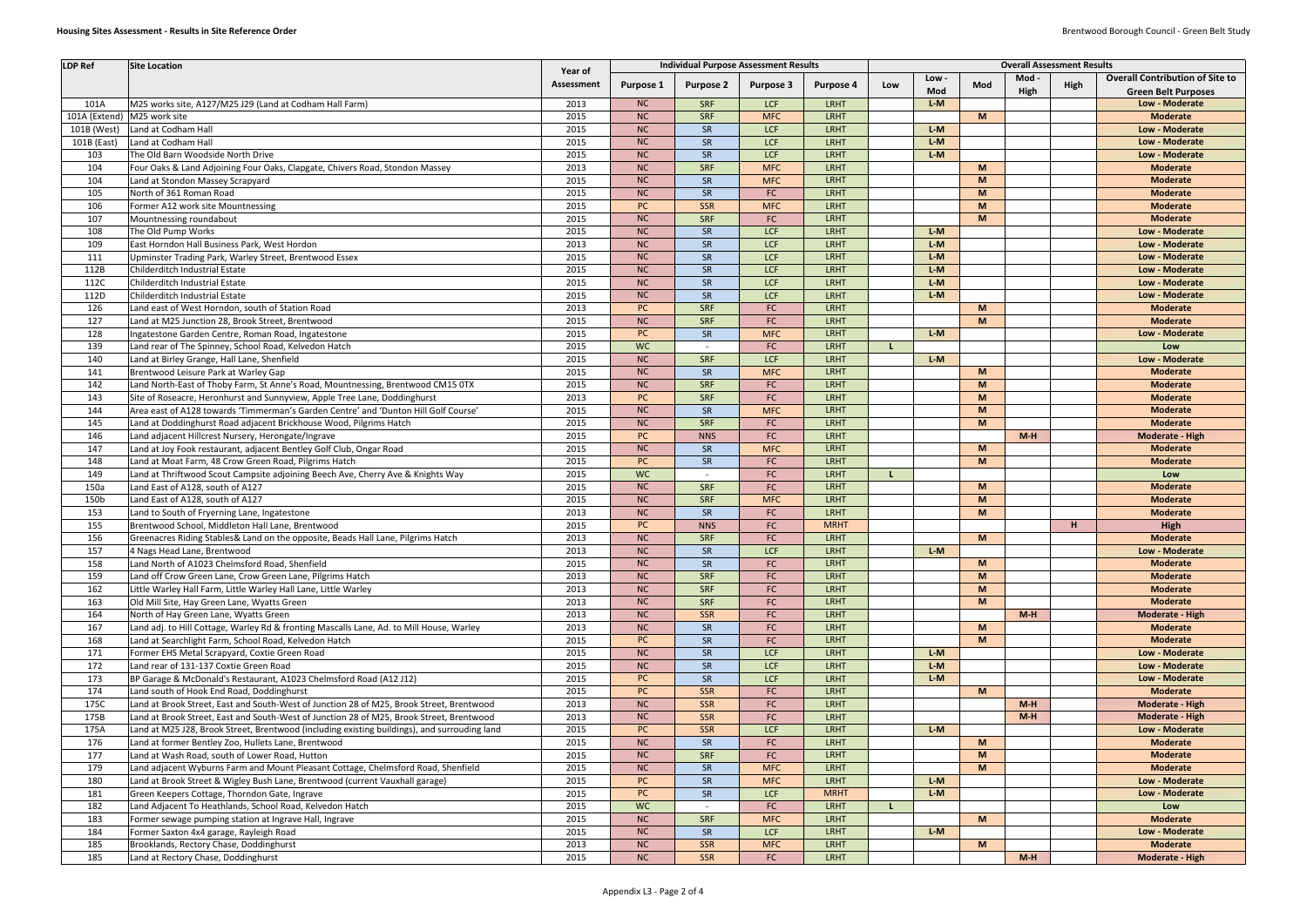| <b>LDP Ref</b>  | <b>Site Location</b>                                                                         |            | <b>Individual Purpose Assessment Results</b> |                  |                  |             |     |       | <b>Overall Assessment Results</b> |       |      |                                        |
|-----------------|----------------------------------------------------------------------------------------------|------------|----------------------------------------------|------------------|------------------|-------------|-----|-------|-----------------------------------|-------|------|----------------------------------------|
|                 |                                                                                              | Year of    |                                              |                  |                  |             |     | Low   |                                   | Mod - |      | <b>Overall Contribution of Site to</b> |
|                 |                                                                                              | Assessment | Purpose 1                                    | <b>Purpose 2</b> | <b>Purpose 3</b> | Purpose 4   | Low | Mod   | Mod                               | High  | High | <b>Green Belt Purposes</b>             |
| 101A            | M25 works site, A127/M25 J29 (Land at Codham Hall Farm)                                      | 2013       | NC                                           | <b>SRF</b>       | LCF              | <b>LRHT</b> |     | $L-M$ |                                   |       |      | Low - Moderate                         |
|                 | 101A (Extend) M25 work site                                                                  | 2015       | NC                                           | SRF              | <b>MFC</b>       | <b>LRHT</b> |     |       | M                                 |       |      | <b>Moderate</b>                        |
| 101B (West)     | Land at Codham Hall                                                                          | 2015       | NC                                           | <b>SR</b>        | <b>LCF</b>       | LRHT        |     | $L-M$ |                                   |       |      | Low - Moderate                         |
| 101B (East)     | Land at Codham Hall                                                                          | 2015       | NC                                           | SR               | <b>LCF</b>       | LRHT        |     | $L-M$ |                                   |       |      | <b>Low - Moderate</b>                  |
| 103             | The Old Barn Woodside North Drive                                                            | 2015       | NC                                           | SR               | <b>LCF</b>       | <b>LRHT</b> |     | $L-M$ |                                   |       |      | Low - Moderate                         |
| 104             | Four Oaks & Land Adjoining Four Oaks, Clapgate, Chivers Road, Stondon Massey                 | 2013       | NC                                           | SRF              | <b>MFC</b>       | <b>LRHT</b> |     |       | M                                 |       |      | <b>Moderate</b>                        |
| 104             | Land at Stondon Massey Scrapyard                                                             | 2015       | NC                                           | SR               | <b>MFC</b>       | <b>LRHT</b> |     |       | M                                 |       |      | <b>Moderate</b>                        |
| 105             | North of 361 Roman Road                                                                      | 2015       | <b>NC</b>                                    | SR               | FC               | <b>LRHT</b> |     |       | M                                 |       |      | <b>Moderate</b>                        |
| 106             | Former A12 work site Mountnessing                                                            | 2015       | PC                                           | <b>SSR</b>       | <b>MFC</b>       | <b>LRHT</b> |     |       | M                                 |       |      | <b>Moderate</b>                        |
| 107             | Mountnessing roundabout                                                                      | 2015       | <b>NC</b>                                    | SRF              | FC               | LRHT        |     |       | M                                 |       |      | <b>Moderate</b>                        |
| 108             | The Old Pump Works                                                                           | 2015       | <b>NC</b>                                    | SR               | LCF              | <b>LRHT</b> |     | $L-M$ |                                   |       |      | Low - Moderate                         |
| 109             | East Horndon Hall Business Park, West Hordon                                                 | 2013       | NC                                           | SR               | <b>LCF</b>       | <b>LRHT</b> |     | $L-M$ |                                   |       |      | Low - Moderate                         |
| 111             | Upminster Trading Park, Warley Street, Brentwood Essex                                       | 2015       | NC                                           | SR               | <b>LCF</b>       | <b>LRHT</b> |     | $L-M$ |                                   |       |      | Low - Moderate                         |
| 112B            | Childerditch Industrial Estate                                                               | 2015       | NC                                           | <b>SR</b>        | LCF              | <b>LRHT</b> |     | $L-M$ |                                   |       |      | Low - Moderate                         |
| 112C            | Childerditch Industrial Estate                                                               | 2015       | N <sub>C</sub>                               | <b>SR</b>        | LCF              | <b>LRHT</b> |     | $L-M$ |                                   |       |      | <b>Low - Moderate</b>                  |
| 112D            | Childerditch Industrial Estate                                                               | 2015       | NC                                           | SR               | LCF              | <b>LRHT</b> |     | $L-M$ |                                   |       |      | Low - Moderate                         |
| 126             | Land east of West Horndon, south of Station Road                                             | 2013       | PC                                           | SRF              | FC               | <b>LRHT</b> |     |       | M                                 |       |      | <b>Moderate</b>                        |
| 127             | Land at M25 Junction 28, Brook Street, Brentwood                                             | 2015       | NC                                           | SRF              | FC               | <b>LRHT</b> |     |       | M                                 |       |      | <b>Moderate</b>                        |
| 128             | Ingatestone Garden Centre, Roman Road, Ingatestone                                           | 2015       | PC                                           | SR               | <b>MFC</b>       | <b>LRHT</b> |     | $L-M$ |                                   |       |      | Low - Moderate                         |
| 139             | Land rear of The Spinney, School Road, Kelvedon Hatch                                        | 2015       | <b>WC</b>                                    |                  | FC               | LRHT        |     |       |                                   |       |      | Low                                    |
| 140             | Land at Birley Grange, Hall Lane, Shenfield                                                  | 2015       | NC                                           | <b>SRF</b>       | <b>LCF</b>       | <b>LRHT</b> |     | $L-M$ |                                   |       |      | Low - Moderate                         |
| 141             | Brentwood Leisure Park at Warley Gap                                                         | 2015       | NC                                           | SR               | <b>MFC</b>       | <b>LRHT</b> |     |       | M                                 |       |      | <b>Moderate</b>                        |
| 142             | Land North-East of Thoby Farm, St Anne's Road, Mountnessing, Brentwood CM15 0TX              | 2015       | NC                                           | SRF              | FC               | <b>LRHT</b> |     |       | M                                 |       |      | <b>Moderate</b>                        |
| 143             | Site of Roseacre, Heronhurst and Sunnyview, Apple Tree Lane, Doddinghurst                    | 2013       | PC                                           | <b>SRF</b>       | FC               | <b>LRHT</b> |     |       | M                                 |       |      | <b>Moderate</b>                        |
| 144             | Area east of A128 towards 'Timmerman's Garden Centre' and 'Dunton Hill Golf Course'          | 2015       | NC                                           | SR               | <b>MFC</b>       | <b>LRHT</b> |     |       | M                                 |       |      | <b>Moderate</b>                        |
| 145             | Land at Doddinghurst Road adjacent Brickhouse Wood, Pilgrims Hatch                           | 2015       | NC                                           | <b>SRF</b>       | FC               | <b>LRHT</b> |     |       | M                                 |       |      | <b>Moderate</b>                        |
| 146             | Land adjacent Hillcrest Nursery, Herongate/Ingrave                                           | 2015       | <b>PC</b>                                    | <b>NNS</b>       | FC               | LRHT        |     |       |                                   | $M-H$ |      | <b>Moderate - High</b>                 |
| 147             | Land at Joy Fook restaurant, adjacent Bentley Golf Club, Ongar Road                          | 2015       | NC                                           | SR               | <b>MFC</b>       | <b>LRHT</b> |     |       | M                                 |       |      | <b>Moderate</b>                        |
| 148             | Land at Moat Farm, 48 Crow Green Road, Pilgrims Hatch                                        | 2015       | PC                                           | SR               | FC               | LRHT        |     |       | M                                 |       |      | <b>Moderate</b>                        |
| 149             | Land at Thriftwood Scout Campsite adjoining Beech Ave, Cherry Ave & Knights Way              | 2015       | <b>WC</b>                                    |                  | FC               | <b>LRHT</b> |     |       |                                   |       |      | Low                                    |
| 150a            | Land East of A128, south of A127                                                             | 2015       | NC                                           | SRF              | FC               | <b>LRHT</b> |     |       | M                                 |       |      | <b>Moderate</b>                        |
| 150b            | Land East of A128, south of A127                                                             | 2015       | NC                                           | <b>SRF</b>       | <b>MFC</b>       | <b>LRHT</b> |     |       | M                                 |       |      | <b>Moderate</b>                        |
| 153             | Land to South of Fryerning Lane, Ingatestone                                                 | 2013       | NC                                           | SR               | FC               | <b>LRHT</b> |     |       | M                                 |       |      | <b>Moderate</b>                        |
| 155             | Brentwood School, Middleton Hall Lane, Brentwood                                             | 2015       | PC                                           | <b>NNS</b>       | FC               | <b>MRHT</b> |     |       |                                   |       |      | High                                   |
| 156             | Greenacres Riding Stables& Land on the opposite, Beads Hall Lane, Pilgrims Hatch             | 2013       | NC                                           | <b>SRF</b>       | FC               | <b>LRHT</b> |     |       | M                                 |       |      | <b>Moderate</b>                        |
| $\frac{157}{ }$ | 4 Nags Head Lane, Brentwood                                                                  | 2013       | NC                                           | SR               | <b>LCF</b>       | <b>LRHT</b> |     | $L-M$ |                                   |       |      | Low - Moderate                         |
| 158             | Land North of A1023 Chelmsford Road, Shenfield                                               | 2015       | NC                                           | <b>SR</b>        | FC               | <b>LRHT</b> |     |       | M                                 |       |      | <b>Moderate</b>                        |
| 159             | Land off Crow Green Lane, Crow Green Lane, Pilgrims Hatch                                    | 2013       | NC                                           | <b>SRF</b>       | FC               | <b>LRHT</b> |     |       | M                                 |       |      | <b>Moderate</b>                        |
| 162             | Little Warley Hall Farm, Little Warley Hall Lane, Little Warley                              | 2013       | <b>NC</b>                                    | SRF              | FC               | <b>LRHT</b> |     |       | M                                 |       |      | <b>Moderate</b>                        |
| 163             | Old Mill Site, Hay Green Lane, Wyatts Green                                                  | 2013       | NC                                           | <b>SRF</b>       | FC               | <b>LRHT</b> |     |       | M                                 |       |      | <b>Moderate</b>                        |
| 164             | North of Hay Green Lane, Wyatts Green                                                        | 2013       | <b>NC</b>                                    | <b>SSR</b>       | FC               | <b>LRHT</b> |     |       |                                   | $M-H$ |      | <b>Moderate - High</b>                 |
| 167             | Land adj. to Hill Cottage, Warley Rd & fronting Mascalls Lane, Ad. to Mill House, Warley     | 2013       | <b>NC</b>                                    | SR               | FC               | <b>LRHT</b> |     |       | M                                 |       |      | <b>Moderate</b>                        |
| 168             | Land at Searchlight Farm, School Road, Kelvedon Hatch                                        | 2015       | PC                                           | SR               | FC               | <b>LRHT</b> |     |       | M                                 |       |      | <b>Moderate</b>                        |
| 171             | Former EHS Metal Scrapyard, Coxtie Green Road                                                | 2015       | NC                                           | SR               | <b>LCF</b>       | LRHT        |     | $L-M$ |                                   |       |      | Low - Moderate                         |
| 172             | Land rear of 131-137 Coxtie Green Road                                                       | 2015       | NC                                           | SR               | <b>LCF</b>       | <b>LRHT</b> |     | $L-M$ |                                   |       |      | Low - Moderate                         |
| 173             | BP Garage & McDonald's Restaurant, A1023 Chelmsford Road (A12 J12)                           | 2015       | PC                                           | SR               | <b>LCF</b>       | LRHT        |     | $L-M$ |                                   |       |      | Low - Moderate                         |
| 174             | Land south of Hook End Road, Doddinghurst                                                    | 2015       | PC                                           | <b>SSR</b>       | FC               | <b>LRHT</b> |     |       | M                                 |       |      | <b>Moderate</b>                        |
| 175C            | Land at Brook Street, East and South-West of Junction 28 of M25, Brook Street, Brentwood     | 2013       | NC                                           | <b>SSR</b>       | FC               | LRHT        |     |       |                                   | $M-H$ |      | <b>Moderate - High</b>                 |
| 175B            | Land at Brook Street, East and South-West of Junction 28 of M25, Brook Street, Brentwood     | 2013       | <b>NC</b>                                    | <b>SSR</b>       | FC               | <b>LRHT</b> |     |       |                                   | $M-H$ |      | Moderate - High                        |
| 175A            | Land at M25 J28, Brook Street, Brentwood (including existing buildings), and surrouding land | 2015       | PC                                           | SSR              | <b>LCF</b>       | <b>LRHT</b> |     | $L-M$ |                                   |       |      | Low - Moderate                         |
| 176             | Land at former Bentley Zoo, Hullets Lane, Brentwood                                          | 2015       | NC                                           | SR               | FC               | LRHT        |     |       | M                                 |       |      | <b>Moderate</b>                        |
| 177             | Land at Wash Road, south of Lower Road, Hutton                                               | 2015       | NC                                           | SRF              | FC               | LRHT        |     |       | M                                 |       |      | <b>Moderate</b>                        |
| 179             | Land adjacent Wyburns Farm and Mount Pleasant Cottage, Chelmsford Road, Shenfield            | 2015       | NC                                           | SR               | <b>MFC</b>       | LRHT        |     |       | M                                 |       |      | <b>Moderate</b>                        |
| 180             | Land at Brook Street & Wigley Bush Lane, Brentwood (current Vauxhall garage)                 | 2015       | PC                                           | SR               | <b>MFC</b>       | <b>LRHT</b> |     | $L-M$ |                                   |       |      | Low - Moderate                         |
| 181             |                                                                                              | 2015       | PC                                           | SR               | <b>LCF</b>       | <b>MRHT</b> |     | $L-M$ |                                   |       |      | Low - Moderate                         |
|                 | Green Keepers Cottage, Thorndon Gate, Ingrave                                                | 2015       | <b>WC</b>                                    |                  | FC               | <b>LRHT</b> |     |       |                                   |       |      | Low                                    |
| 182             | Land Adjacent To Heathlands, School Road, Kelvedon Hatch                                     |            | <b>NC</b>                                    | <b>SRF</b>       | <b>MFC</b>       | <b>LRHT</b> |     |       | M                                 |       |      | <b>Moderate</b>                        |
| 183             | Former sewage pumping station at Ingrave Hall, Ingrave                                       | 2015       |                                              |                  |                  | <b>LRHT</b> |     | $L-M$ |                                   |       |      |                                        |
| 184             | Former Saxton 4x4 garage, Rayleigh Road                                                      | 2015       | <b>NC</b>                                    | SR               | <b>LCF</b>       |             |     |       | <b>M</b>                          |       |      | Low - Moderate<br><b>Moderate</b>      |
| 185             | Brooklands, Rectory Chase, Doddinghurst                                                      | 2013       | <b>NC</b>                                    | <b>SSR</b>       | <b>MFC</b>       | <b>LRHT</b> |     |       |                                   |       |      |                                        |
| 185             | Land at Rectory Chase, Doddinghurst                                                          | 2015       | NC                                           | <b>SSR</b>       | FC               | <b>LRHT</b> |     |       |                                   | $M-H$ |      | Moderate - High                        |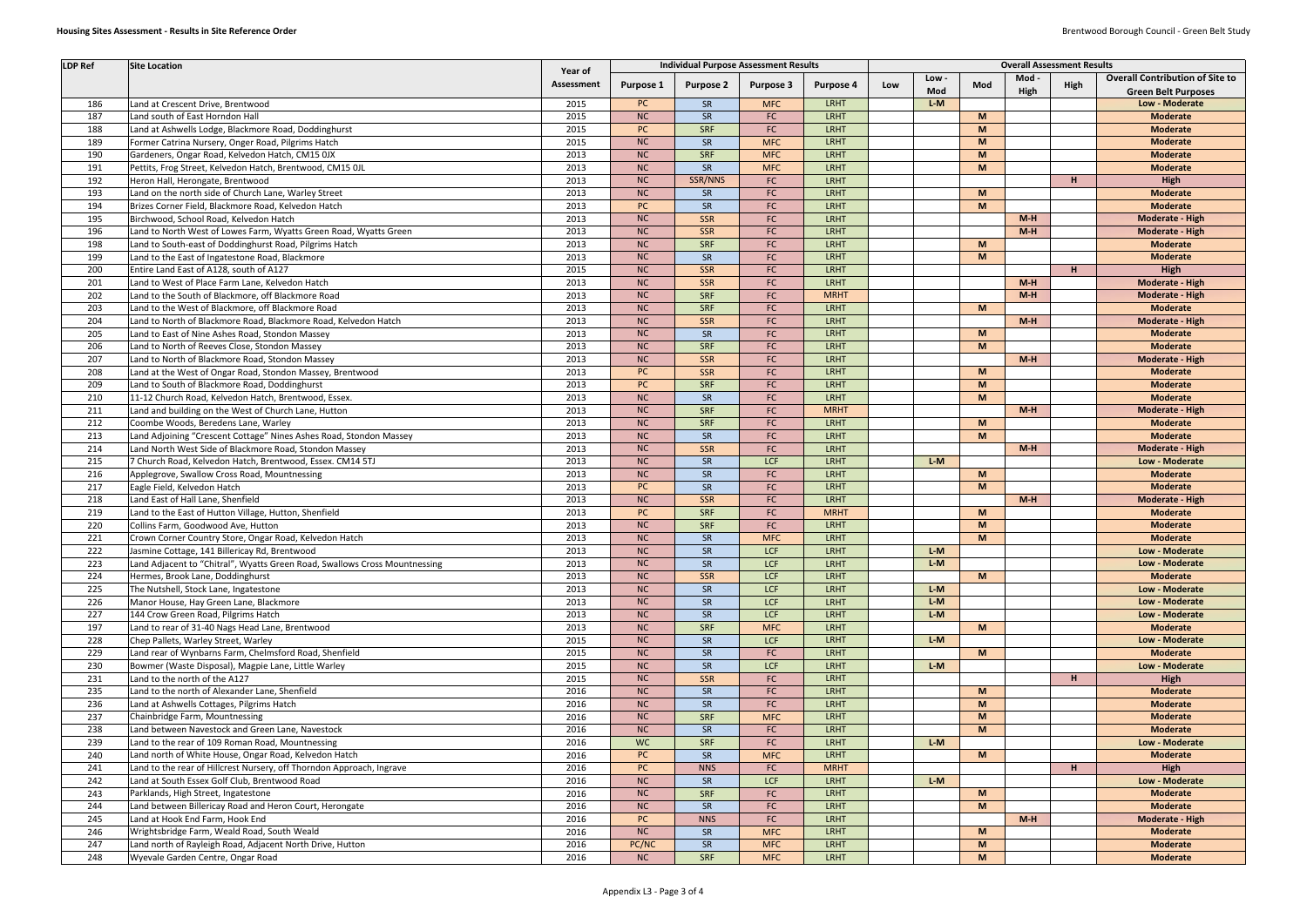| <b>LDP Ref</b>   | <b>Site Location</b>                                                       |            |           | <b>Individual Purpose Assessment Results</b> |                  |             |     | <b>Overall Assessment Results</b> |          |       |      |                                        |  |
|------------------|----------------------------------------------------------------------------|------------|-----------|----------------------------------------------|------------------|-------------|-----|-----------------------------------|----------|-------|------|----------------------------------------|--|
|                  |                                                                            | Year of    |           |                                              |                  |             |     | Low -                             |          | Mod - |      | <b>Overall Contribution of Site to</b> |  |
|                  |                                                                            | Assessment | Purpose 1 | <b>Purpose 2</b>                             | <b>Purpose 3</b> | Purpose 4   | Low | Mod                               | Mod      | High  | High | <b>Green Belt Purposes</b>             |  |
| 186              | Land at Crescent Drive, Brentwood                                          | 2015       | PC        | <b>SR</b>                                    | <b>MFC</b>       | <b>LRHT</b> |     | $L-M$                             |          |       |      | Low - Moderate                         |  |
| 187              | Land south of East Horndon Hall                                            | 2015       | <b>NC</b> | SR                                           | FC               | <b>LRHT</b> |     |                                   | M        |       |      | <b>Moderate</b>                        |  |
| 188              | Land at Ashwells Lodge, Blackmore Road, Doddinghurst                       | 2015       | PC        | <b>SRF</b>                                   | FC               | <b>LRHT</b> |     |                                   | M        |       |      | <b>Moderate</b>                        |  |
| 189              | Former Catrina Nursery, Onger Road, Pilgrims Hatch                         | 2015       | <b>NC</b> | SR                                           | <b>MFC</b>       | <b>LRHT</b> |     |                                   | M        |       |      | <b>Moderate</b>                        |  |
| 190              | Gardeners, Ongar Road, Kelvedon Hatch, CM15 0JX                            | 2013       | <b>NC</b> | SRF                                          | <b>MFC</b>       | <b>LRHT</b> |     |                                   | M        |       |      | <b>Moderate</b>                        |  |
| 191              | Pettits, Frog Street, Kelvedon Hatch, Brentwood, CM15 OJL                  | 2013       | <b>NC</b> | SR                                           | <b>MFC</b>       | <b>LRHT</b> |     |                                   | M        |       |      | <b>Moderate</b>                        |  |
| 192              | Heron Hall, Herongate, Brentwood                                           | 2013       | <b>NC</b> | SSR/NNS                                      | FC               | LRHT        |     |                                   |          |       | H    | High                                   |  |
| 193              | Land on the north side of Church Lane, Warley Street                       | 2013       | <b>NC</b> | SR                                           | FC               | <b>LRHT</b> |     |                                   | M        |       |      | <b>Moderate</b>                        |  |
| 194              | Brizes Corner Field, Blackmore Road, Kelvedon Hatch                        | 2013       | <b>PC</b> | SR                                           | FC               | <b>LRHT</b> |     |                                   | M        |       |      | <b>Moderate</b>                        |  |
| 195              | Birchwood, School Road, Kelvedon Hatch                                     | 2013       | <b>NC</b> | SSR                                          | <b>FC</b>        | <b>LRHT</b> |     |                                   |          | $M-H$ |      | Moderate - High                        |  |
| 196              | Land to North West of Lowes Farm, Wyatts Green Road, Wyatts Green          | 2013       | <b>NC</b> | <b>SSR</b>                                   | <b>FC</b>        | <b>LRHT</b> |     |                                   |          | $M-H$ |      | <b>Moderate - High</b>                 |  |
| 198              | Land to South-east of Doddinghurst Road, Pilgrims Hatch                    | 2013       | <b>NC</b> | <b>SRF</b>                                   | <b>FC</b>        | <b>LRHT</b> |     |                                   | M        |       |      | <b>Moderate</b>                        |  |
| 199              | Land to the East of Ingatestone Road, Blackmore                            | 2013       | <b>NC</b> | SR                                           | <b>FC</b>        | <b>LRHT</b> |     |                                   | M        |       |      | <b>Moderate</b>                        |  |
| 200              | Entire Land East of A128, south of A127                                    | 2015       | <b>NC</b> | SSR                                          | FC               | <b>LRHT</b> |     |                                   |          |       | H    | High                                   |  |
| 201              | Land to West of Place Farm Lane, Kelvedon Hatch                            | 2013       | <b>NC</b> | SSR                                          | FC.              | <b>LRHT</b> |     |                                   |          | $M-H$ |      | <b>Moderate - High</b>                 |  |
| 202              | Land to the South of Blackmore, off Blackmore Road                         | 2013       | <b>NC</b> | SRF                                          | <b>FC</b>        | <b>MRHT</b> |     |                                   |          | $M-H$ |      | Moderate - High                        |  |
| 203              | Land to the West of Blackmore, off Blackmore Road                          | 2013       | <b>NC</b> | SRF                                          | <b>FC</b>        | <b>LRHT</b> |     |                                   | M        |       |      | <b>Moderate</b>                        |  |
| 204              | Land to North of Blackmore Road, Blackmore Road, Kelvedon Hatch            | 2013       | <b>NC</b> | SSR                                          | <b>FC</b>        | <b>LRHT</b> |     |                                   |          | $M-H$ |      | Moderate - High                        |  |
| 205              | Land to East of Nine Ashes Road, Stondon Massey                            | 2013       | <b>NC</b> | SR                                           | FC               | <b>LRHT</b> |     |                                   | M        |       |      | <b>Moderate</b>                        |  |
| 206              | Land to North of Reeves Close, Stondon Massey                              | 2013       | <b>NC</b> | SRF                                          | <b>FC</b>        | <b>LRHT</b> |     |                                   | M        |       |      | <b>Moderate</b>                        |  |
| 207              | Land to North of Blackmore Road, Stondon Massey                            | 2013       | <b>NC</b> | SSR                                          | <b>FC</b>        | <b>LRHT</b> |     |                                   |          | $M-H$ |      | <b>Moderate - High</b>                 |  |
| 208              | Land at the West of Ongar Road, Stondon Massey, Brentwood                  | 2013       | PC        | <b>SSR</b>                                   | FC               | <b>LRHT</b> |     |                                   | <b>M</b> |       |      | <b>Moderate</b>                        |  |
| 209              | Land to South of Blackmore Road, Doddinghurst                              | 2013       | PC        | SRF                                          | FC               | <b>LRHT</b> |     |                                   | M        |       |      | <b>Moderate</b>                        |  |
| 210              | 11-12 Church Road, Kelvedon Hatch, Brentwood, Essex.                       | 2013       | <b>NC</b> | SR                                           | FC               | <b>LRHT</b> |     |                                   | M        |       |      | <b>Moderate</b>                        |  |
| 211              | Land and building on the West of Church Lane, Hutton                       | 2013       | <b>NC</b> | SRF                                          | FC               | <b>MRHT</b> |     |                                   |          | $M-H$ |      | <b>Moderate - High</b>                 |  |
| 212              | Coombe Woods, Beredens Lane, Warley                                        | 2013       | <b>NC</b> | SRF                                          | FC               | <b>LRHT</b> |     |                                   | M        |       |      | <b>Moderate</b>                        |  |
| 213              | Land Adjoining "Crescent Cottage" Nines Ashes Road, Stondon Massey         | 2013       | <b>NC</b> | SR                                           | <b>FC</b>        | <b>LRHT</b> |     |                                   | M        |       |      | <b>Moderate</b>                        |  |
| 214              | Land North West Side of Blackmore Road, Stondon Massey                     | 2013       | <b>NC</b> | <b>SSR</b>                                   | <b>FC</b>        | <b>LRHT</b> |     |                                   |          | $M-H$ |      | <b>Moderate - High</b>                 |  |
| 215              | 7 Church Road, Kelvedon Hatch, Brentwood, Essex. CM14 5TJ                  | 2013       | <b>NC</b> | SR                                           | LCF              | <b>LRHT</b> |     | $L-M$                             |          |       |      | Low - Moderate                         |  |
| 216              | Applegrove, Swallow Cross Road, Mountnessing                               | 2013       | <b>NC</b> | SR                                           | <b>FC</b>        | LRHT        |     |                                   | M        |       |      | <b>Moderate</b>                        |  |
| 217              | Eagle Field, Kelvedon Hatch                                                | 2013       | PC        | SR                                           | FC               | <b>LRHT</b> |     |                                   | M        |       |      | <b>Moderate</b>                        |  |
| 218              | Land East of Hall Lane, Shenfield                                          | 2013       | <b>NC</b> | <b>SSR</b>                                   | <b>FC</b>        | <b>LRHT</b> |     |                                   |          | $M-H$ |      | Moderate - High                        |  |
| 219              | Land to the East of Hutton Village, Hutton, Shenfield                      | 2013       | <b>PC</b> | <b>SRF</b>                                   | <b>FC</b>        | <b>MRHT</b> |     |                                   | M        |       |      | <b>Moderate</b>                        |  |
| 220              | Collins Farm, Goodwood Ave, Hutton                                         | 2013       | <b>NC</b> | SRF                                          | FC               | <b>LRHT</b> |     |                                   | M        |       |      | <b>Moderate</b>                        |  |
| 221              | Crown Corner Country Store, Ongar Road, Kelvedon Hatch                     | 2013       | <b>NC</b> | SR                                           | <b>MFC</b>       | <b>LRHT</b> |     |                                   | M        |       |      | <b>Moderate</b>                        |  |
| $\overline{222}$ | Jasmine Cottage, 141 Billericay Rd, Brentwood                              | 2013       | NC        | ${\sf SR}$                                   | <b>LCF</b>       | <b>LRHT</b> |     | $L-M$                             |          |       |      | Low - Moderate                         |  |
| 223              | Land Adjacent to "Chitral", Wyatts Green Road, Swallows Cross Mountnessing | 2013       | <b>NC</b> | SR                                           | LCF              | <b>LRHT</b> |     | $L-M$                             |          |       |      | Low - Moderate                         |  |
| 224              | Hermes, Brook Lane, Doddinghurst                                           | 2013       | <b>NC</b> | <b>SSR</b>                                   | <b>LCF</b>       | <b>LRHT</b> |     |                                   | <b>M</b> |       |      | <b>Moderate</b>                        |  |
| 225              | The Nutshell, Stock Lane, Ingatestone                                      | 2013       | <b>NC</b> | SR                                           | LCF              | <b>LRHT</b> |     | $L-M$                             |          |       |      | Low - Moderate                         |  |
| 226              | Manor House, Hay Green Lane, Blackmore                                     | 2013       | <b>NC</b> | SR                                           | LCF              | <b>LRHT</b> |     | $L-M$                             |          |       |      | Low - Moderate                         |  |
| 227              | 144 Crow Green Road, Pilgrims Hatch                                        | 2013       | <b>NC</b> | SR                                           | LCF              | <b>LRHT</b> |     | $L-M$                             |          |       |      | Low - Moderate                         |  |
| 197              | Land to rear of 31-40 Nags Head Lane, Brentwood                            | 2013       | <b>NC</b> | SRF                                          | <b>MFC</b>       | <b>LRHT</b> |     |                                   | <b>M</b> |       |      | <b>Moderate</b>                        |  |
| 228              | Chep Pallets, Warley Street, Warley                                        | 2015       | <b>NC</b> | SR                                           | LCF              | <b>LRHT</b> |     | $L-M$                             |          |       |      | Low - Moderate                         |  |
| 229              | Land rear of Wynbarns Farm, Chelmsford Road, Shenfield                     | 2015       | <b>NC</b> | SR                                           | FC               | <b>LRHT</b> |     |                                   | M        |       |      | <b>Moderate</b>                        |  |
| 230              | Bowmer (Waste Disposal), Magpie Lane, Little Warley                        | 2015       | NC        | SR                                           | <b>LCF</b>       | LRHT        |     | $L-M$                             |          |       |      | Low - Moderate                         |  |
| 231              | Land to the north of the A127                                              | 2015       | NC        | SSR                                          | FC               | <b>LRHT</b> |     |                                   |          |       | H    | High                                   |  |
| 235              | Land to the north of Alexander Lane, Shenfield                             | 2016       | <b>NC</b> | SR                                           | <b>FC</b>        | <b>LRHT</b> |     |                                   | M        |       |      | <b>Moderate</b>                        |  |
| 236              | Land at Ashwells Cottages, Pilgrims Hatch                                  | 2016       | NC        | SR                                           | <b>FC</b>        | <b>LRHT</b> |     |                                   | M        |       |      | <b>Moderate</b>                        |  |
| 237              | Chainbridge Farm, Mountnessing                                             | 2016       | <b>NC</b> | <b>SRF</b>                                   | <b>MFC</b>       | <b>LRHT</b> |     |                                   | M        |       |      | <b>Moderate</b>                        |  |
| 238              | Land between Navestock and Green Lane, Navestock                           | 2016       | <b>NC</b> | SR                                           | <b>FC</b>        | <b>LRHT</b> |     |                                   | M        |       |      | <b>Moderate</b>                        |  |
| 239              | Land to the rear of 109 Roman Road, Mountnessing                           | 2016       | <b>WC</b> | SRF                                          | <b>FC</b>        | <b>LRHT</b> |     | $L-M$                             |          |       |      | Low - Moderate                         |  |
| 240              | Land north of White House, Ongar Road, Kelvedon Hatch                      | 2016       | PC        | SR                                           | <b>MFC</b>       | <b>LRHT</b> |     |                                   | M        |       |      | <b>Moderate</b>                        |  |
| 241              | Land to the rear of Hillcrest Nursery, off Thorndon Approach, Ingrave      | 2016       | PC        | <b>NNS</b>                                   | <b>FC</b>        | <b>MRHT</b> |     |                                   |          |       | H    | High                                   |  |
| 242              | Land at South Essex Golf Club, Brentwood Road                              | 2016       | NC        | <b>SR</b>                                    | <b>LCF</b>       | <b>LRHT</b> |     | $L-M$                             |          |       |      | Low - Moderate                         |  |
| 243              | Parklands, High Street, Ingatestone                                        | 2016       | NC        | SRF                                          | FC               | <b>LRHT</b> |     |                                   | M        |       |      | <b>Moderate</b>                        |  |
| 244              | Land between Billericay Road and Heron Court, Herongate                    | 2016       | NC        | SR                                           | <b>FC</b>        | <b>LRHT</b> |     |                                   | M        |       |      | <b>Moderate</b>                        |  |
| 245              | Land at Hook End Farm, Hook End                                            | 2016       | PC        | <b>NNS</b>                                   | FC               | <b>LRHT</b> |     |                                   |          | $M-H$ |      | <b>Moderate - High</b>                 |  |
| 246              | Wrightsbridge Farm, Weald Road, South Weald                                | 2016       | NC        | SR                                           | <b>MFC</b>       | <b>LRHT</b> |     |                                   | M        |       |      | <b>Moderate</b>                        |  |
| 247              | Land north of Rayleigh Road, Adjacent North Drive, Hutton                  | 2016       | PC/NC     | SR                                           | <b>MFC</b>       | <b>LRHT</b> |     |                                   | M        |       |      | <b>Moderate</b>                        |  |
| 248              | Wyevale Garden Centre, Ongar Road                                          | 2016       | NC        | SRF                                          | <b>MFC</b>       | <b>LRHT</b> |     |                                   | <b>M</b> |       |      | <b>Moderate</b>                        |  |
|                  |                                                                            |            |           |                                              |                  |             |     |                                   |          |       |      |                                        |  |